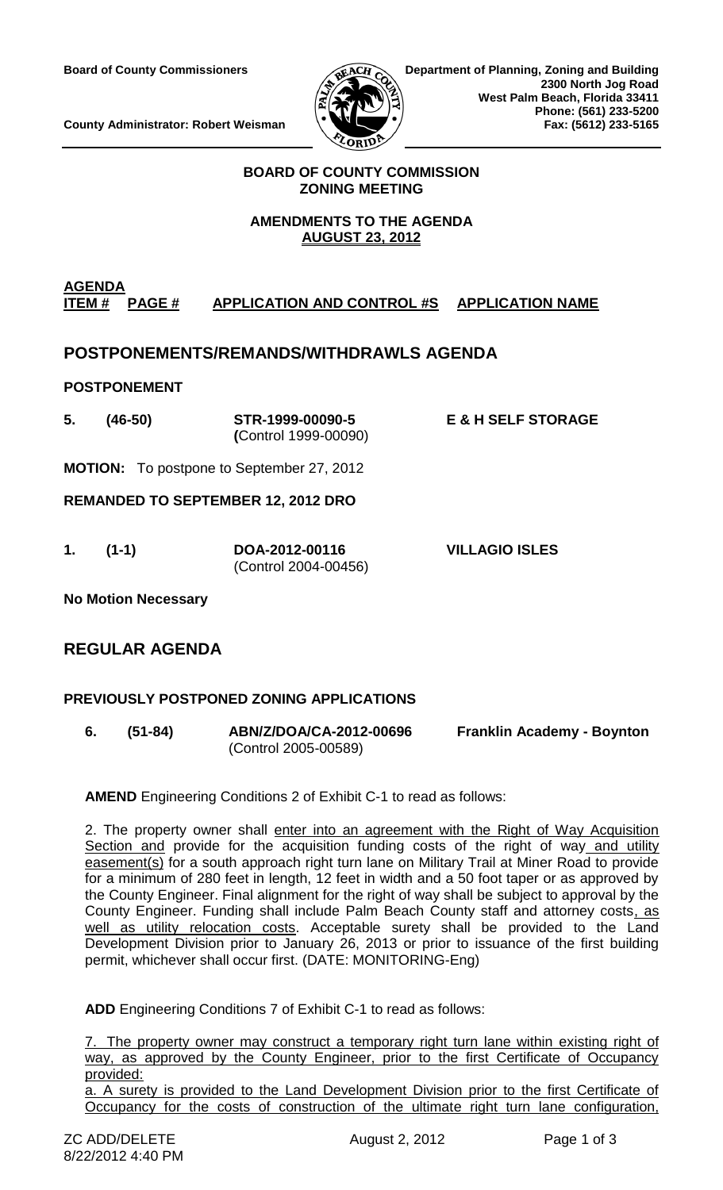

**County Administrator: Robert Weisman** 

### **BOARD OF COUNTY COMMISSION ZONING MEETING**

# **AMENDMENTS TO THE AGENDA AUGUST 23, 2012**

# **AGENDA ITEM # PAGE # APPLICATION AND CONTROL #S APPLICATION NAME**

# **POSTPONEMENTS/REMANDS/WITHDRAWLS AGENDA**

### **POSTPONEMENT**

- **5. (46-50) STR-1999-00090-5 E & H SELF STORAGE (**Control 1999-00090)
- **MOTION:** To postpone to September 27, 2012

**REMANDED TO SEPTEMBER 12, 2012 DRO**

**1. (1-1) DOA-2012-00116 VILLAGIO ISLES** (Control 2004-00456)

**No Motion Necessary**

# **REGULAR AGENDA**

# **PREVIOUSLY POSTPONED ZONING APPLICATIONS**

**6. (51-84) ABN/Z/DOA/CA-2012-00696 Franklin Academy - Boynton** (Control 2005-00589)

**AMEND** Engineering Conditions 2 of Exhibit C-1 to read as follows:

2. The property owner shall enter into an agreement with the Right of Way Acquisition Section and provide for the acquisition funding costs of the right of way and utility easement(s) for a south approach right turn lane on Military Trail at Miner Road to provide for a minimum of 280 feet in length, 12 feet in width and a 50 foot taper or as approved by the County Engineer. Final alignment for the right of way shall be subject to approval by the County Engineer. Funding shall include Palm Beach County staff and attorney costs, as well as utility relocation costs. Acceptable surety shall be provided to the Land Development Division prior to January 26, 2013 or prior to issuance of the first building permit, whichever shall occur first. (DATE: MONITORING-Eng)

**ADD** Engineering Conditions 7 of Exhibit C-1 to read as follows:

7. The property owner may construct a temporary right turn lane within existing right of way, as approved by the County Engineer, prior to the first Certificate of Occupancy provided:

a. A surety is provided to the Land Development Division prior to the first Certificate of Occupancy for the costs of construction of the ultimate right turn lane configuration,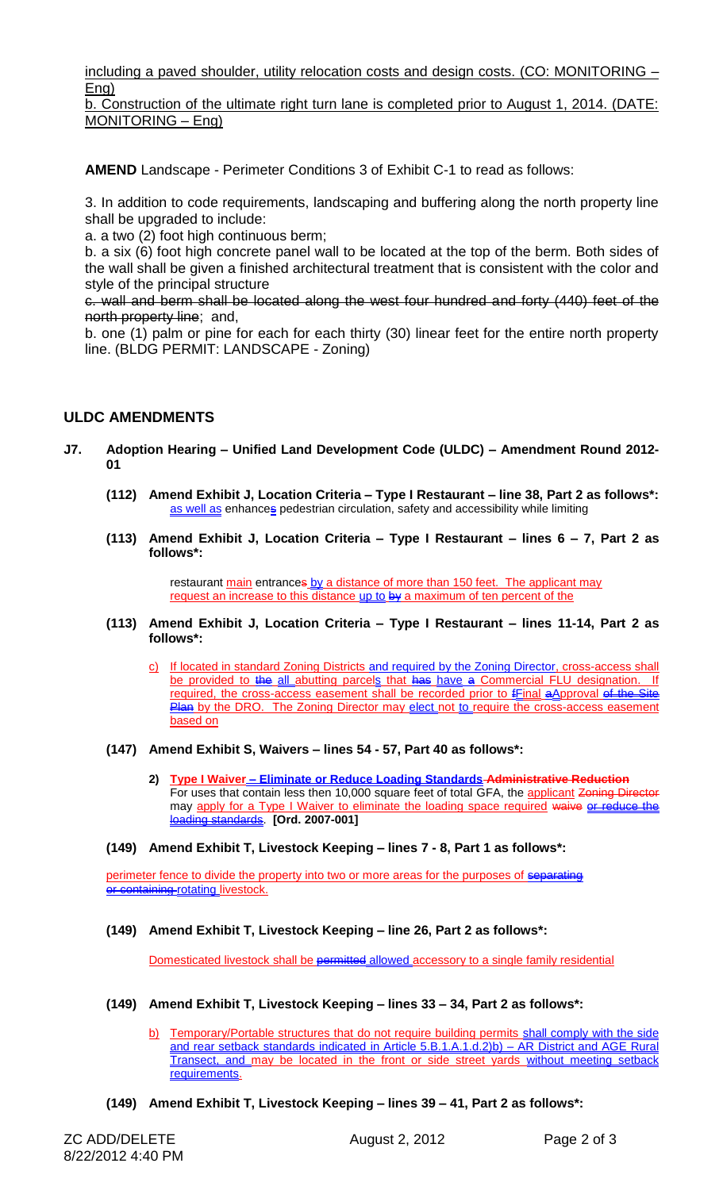including a paved shoulder, utility relocation costs and design costs. (CO: MONITORING – Eng)

b. Construction of the ultimate right turn lane is completed prior to August 1, 2014. (DATE: MONITORING – Eng)

**AMEND** Landscape - Perimeter Conditions 3 of Exhibit C-1 to read as follows:

3. In addition to code requirements, landscaping and buffering along the north property line shall be upgraded to include:

a. a two (2) foot high continuous berm;

b. a six (6) foot high concrete panel wall to be located at the top of the berm. Both sides of the wall shall be given a finished architectural treatment that is consistent with the color and style of the principal structure

c. wall and berm shall be located along the west four hundred and forty (440) feet of the north property line; and,

b. one (1) palm or pine for each for each thirty (30) linear feet for the entire north property line. (BLDG PERMIT: LANDSCAPE - Zoning)

### **ULDC AMENDMENTS**

- **J7. Adoption Hearing – Unified Land Development Code (ULDC) – Amendment Round 2012- 01**
	- **(112) Amend Exhibit J, Location Criteria – Type I Restaurant – line 38, Part 2 as follows\*:** as well as enhances pedestrian circulation, safety and accessibility while limiting
	- **(113) Amend Exhibit J, Location Criteria – Type I Restaurant – lines 6 – 7, Part 2 as follows\*:**

restaurant main entrances by a distance of more than 150 feet. The applicant may request an increase to this distance up to  $\frac{by}{x}$  a maximum of ten percent of the

- **(113) Amend Exhibit J, Location Criteria – Type I Restaurant – lines 11-14, Part 2 as follows\*:**
	- c) If located in standard Zoning Districts and required by the Zoning Director, cross-access shall be provided to the all abutting parcels that has have a Commercial FLU designation. If required, the cross-access easement shall be recorded prior to fFinal aApproval of the Site Plan by the DRO. The Zoning Director may elect not to require the cross-access easement based on
- **(147) Amend Exhibit S, Waivers – lines 54 - 57, Part 40 as follows\*:**
	- **2) Type I Waiver – Eliminate or Reduce Loading Standards Administrative Reduction** For uses that contain less then 10,000 square feet of total GFA, the applicant Zoning Director may apply for a Type I Waiver to eliminate the loading space required waive or reduce the loading standards. **[Ord. 2007-001]**
- **(149) Amend Exhibit T, Livestock Keeping – lines 7 - 8, Part 1 as follows\*:**

perimeter fence to divide the property into two or more areas for the purposes of separating or containing rotating livestock.

#### **(149) Amend Exhibit T, Livestock Keeping – line 26, Part 2 as follows\*:**

Domesticated livestock shall be permitted allowed accessory to a single family residential

- **(149) Amend Exhibit T, Livestock Keeping – lines 33 – 34, Part 2 as follows\*:**
	- b) Temporary/Portable structures that do not require building permits shall comply with the side and rear setback standards indicated in Article 5.B.1.A.1.d.2)b) – AR District and AGE Rural Transect, and may be located in the front or side street yards without meeting setback requirements.
- **(149) Amend Exhibit T, Livestock Keeping – lines 39 – 41, Part 2 as follows\*:**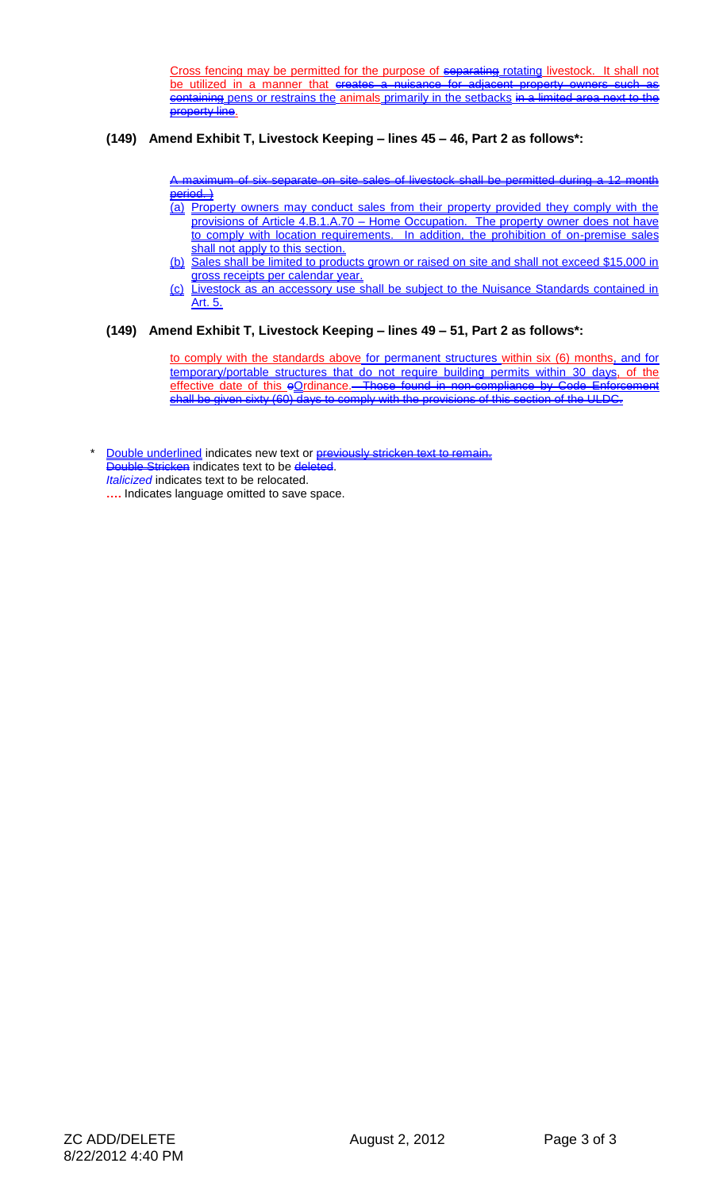Cross fencing may be permitted for the purpose of separating rotating livestock. It shall not be utilized in a manner that creates a nuisance for adjacent property owners such as containing pens or restrains the animals primarily in the setbacks in a limited area next to the property line.

#### **(149) Amend Exhibit T, Livestock Keeping – lines 45 – 46, Part 2 as follows\*:**

A maximum of six separate on site sales of livestock shall be permitted during a 12 month  $\overline{\text{period.}}$ 

- (a) Property owners may conduct sales from their property provided they comply with the provisions of Article 4.B.1.A.70 – Home Occupation. The property owner does not have to comply with location requirements. In addition, the prohibition of on-premise sales shall not apply to this section.
- (b) Sales shall be limited to products grown or raised on site and shall not exceed \$15,000 in gross receipts per calendar year.
- (c) Livestock as an accessory use shall be subject to the Nuisance Standards contained in Art. 5.

#### **(149) Amend Exhibit T, Livestock Keeping – lines 49 – 51, Part 2 as follows\*:**

to comply with the standards above for permanent structures within six (6) months, and for temporary/portable structures that do not require building permits within 30 days, of the effective date of this eOrdinance.-Those found in non-compliance by Code shall be given sixty (60) days to comply with the provisions of this section of the ULDC.

Double underlined indicates new text or **previously stricken text to remain.** Double Stricken indicates text to be deleted. *Italicized* indicates text to be relocated. **….** Indicates language omitted to save space.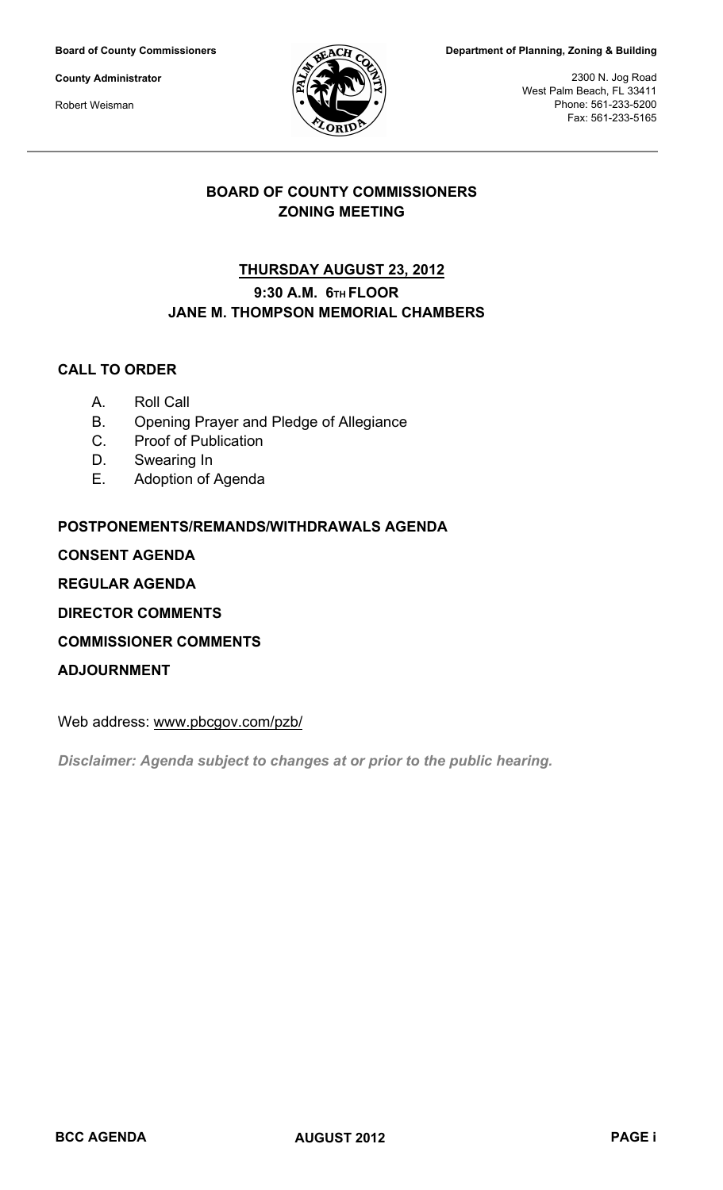**Board of County Commissioners**

**County Administrator**

Robert Weisman



**Department of Planning, Zoning & Building**

2300 N. Jog Road West Palm Beach, FL 33411 Phone: 561-233-5200 Fax: 561-233-5165

# **BOARD OF COUNTY COMMISSIONERS ZONING MEETING**

# **9:30 A.M. 6TH FLOOR JANE M. THOMPSON MEMORIAL CHAMBERS THURSDAY AUGUST 23, 2012**

# **CALL TO ORDER**

- A. Roll Call
- B. Opening Prayer and Pledge of Allegiance
- C. Proof of Publication
- D. Swearing In
- E. Adoption of Agenda

# **POSTPONEMENTS/REMANDS/WITHDRAWALS AGENDA**

**CONSENT AGENDA**

# **REGULAR AGENDA**

**DIRECTOR COMMENTS**

# **COMMISSIONER COMMENTS**

**ADJOURNMENT**

Web address: www.pbcgov.com/pzb/

*Disclaimer: Agenda subject to changes at or prior to the public hearing.*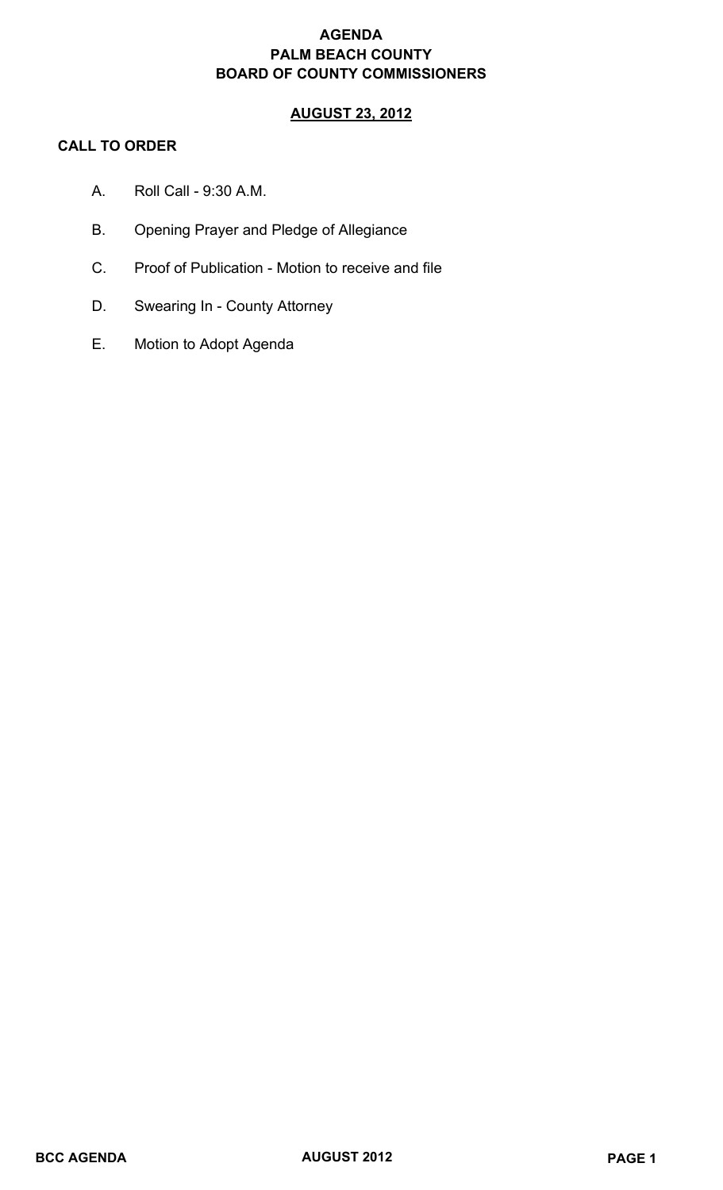# **AGENDA PALM BEACH COUNTY BOARD OF COUNTY COMMISSIONERS**

# **AUGUST 23, 2012**

# **CALL TO ORDER**

- A. Roll Call 9:30 A.M.
- B. Opening Prayer and Pledge of Allegiance
- C. Proof of Publication Motion to receive and file
- D. Swearing In County Attorney
- E. Motion to Adopt Agenda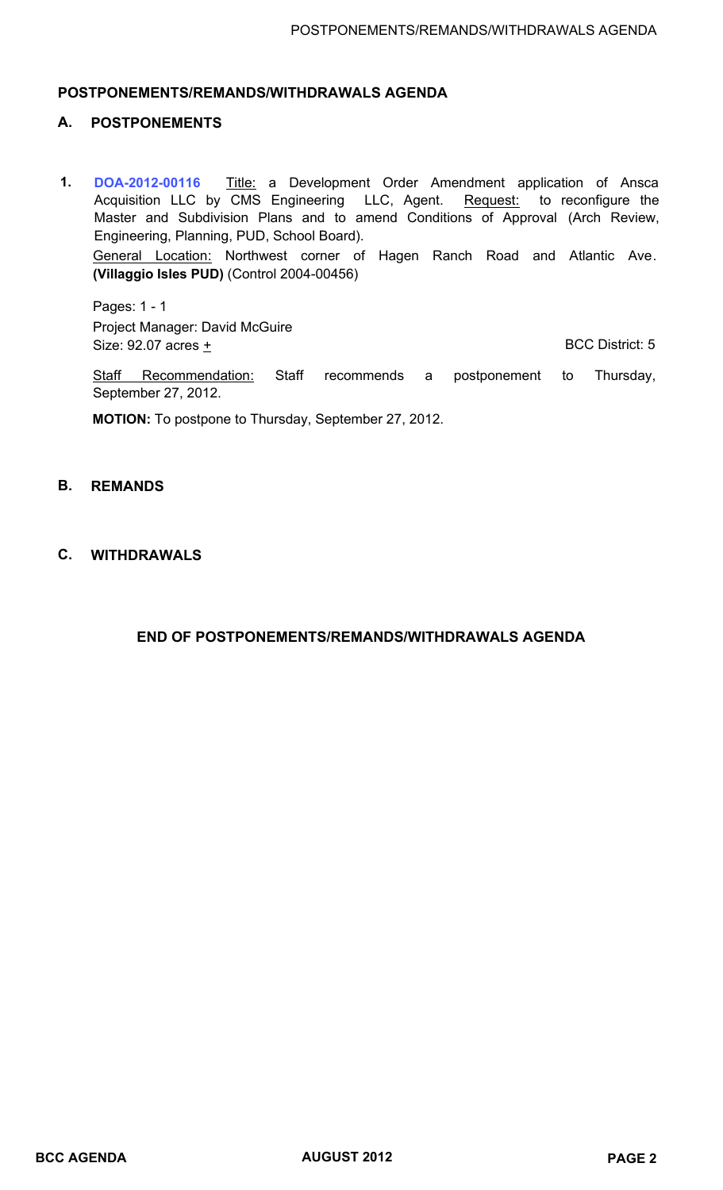### **POSTPONEMENTS/REMANDS/WITHDRAWALS AGENDA**

#### **A. POSTPONEMENTS**

**[DOA-2012-00116](http://discover.pbcgov.org/pzb/zoning/Hearings-Meetings-BCC/2012-08-1.pdf)** Title: a Development Order Amendment application of Ansca Acquisition LLC by CMS Engineering LLC, Agent. Request: to reconfigure the Master and Subdivision Plans and to amend Conditions of Approval (Arch Review, Engineering, Planning, PUD, School Board). **1.** General Location: Northwest corner of Hagen Ranch Road and Atlantic Ave. **(Villaggio Isles PUD)** (Control 2004-00456)

Pages: 1 - 1 Project Manager: David McGuire Size: 92.07 acres + BCC District: 5

Staff Recommendation: Staff recommends a postponement to Thursday, September 27, 2012.

**MOTION:** To postpone to Thursday, September 27, 2012.

#### **B. REMANDS**

### **C. WITHDRAWALS**

 **END OF POSTPONEMENTS/REMANDS/WITHDRAWALS AGENDA**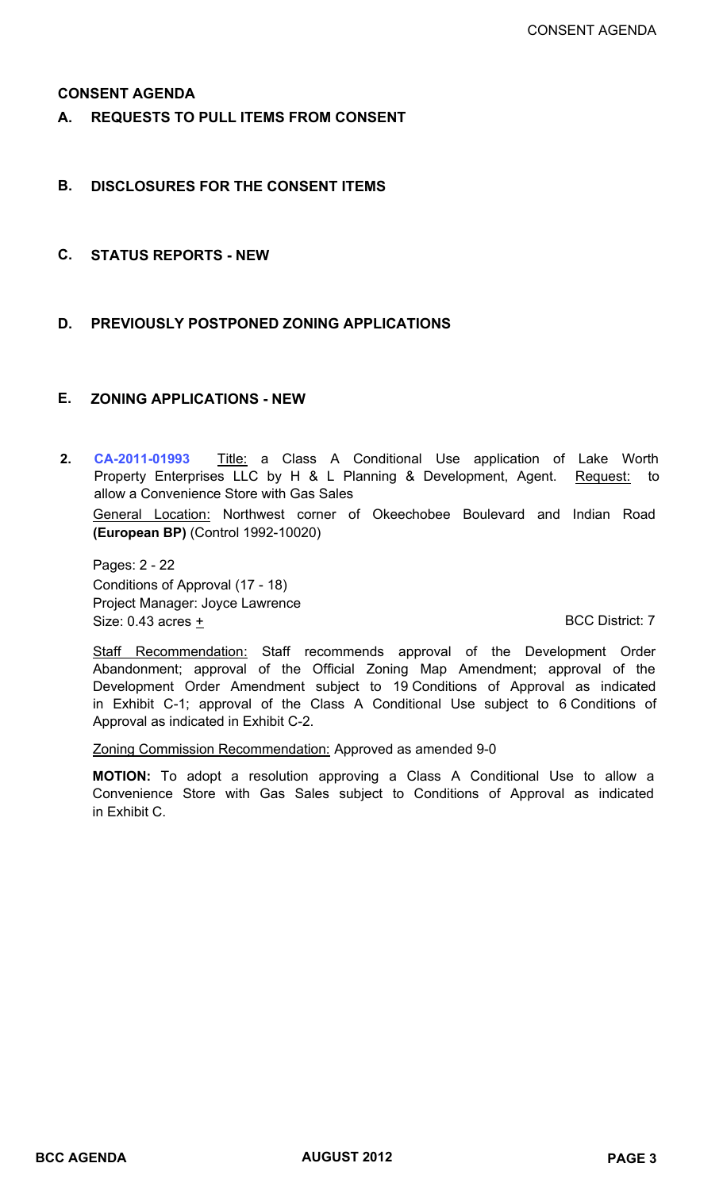### **CONSENT AGENDA**

**A. REQUESTS TO PULL ITEMS FROM CONSENT**

### **B. DISCLOSURES FOR THE CONSENT ITEMS**

- **C. STATUS REPORTS NEW**
- **D. PREVIOUSLY POSTPONED ZONING APPLICATIONS**

### **E. ZONING APPLICATIONS - NEW**

**[CA-2011-01993](http://discover.pbcgov.org/pzb/zoning/Hearings-Meetings-BCC/2012-08-2.pdf)** Title: a Class A Conditional Use application of Lake Worth Property Enterprises LLC by H & L Planning & Development, Agent. Request: to allow a Convenience Store with Gas Sales **2.** General Location: Northwest corner of Okeechobee Boulevard and Indian Road **(European BP)** (Control 1992-10020)

Pages: 2 - 22 Conditions of Approval (17 - 18) Project Manager: Joyce Lawrence Size: 0.43 acres + BCC District: 7

Staff Recommendation: Staff recommends approval of the Development Order Abandonment; approval of the Official Zoning Map Amendment; approval of the Development Order Amendment subject to 19 Conditions of Approval as indicated in Exhibit C-1; approval of the Class A Conditional Use subject to 6 Conditions of Approval as indicated in Exhibit C-2.

Zoning Commission Recommendation: Approved as amended 9-0

**MOTION:** To adopt a resolution approving a Class A Conditional Use to allow a Convenience Store with Gas Sales subject to Conditions of Approval as indicated in Exhibit C.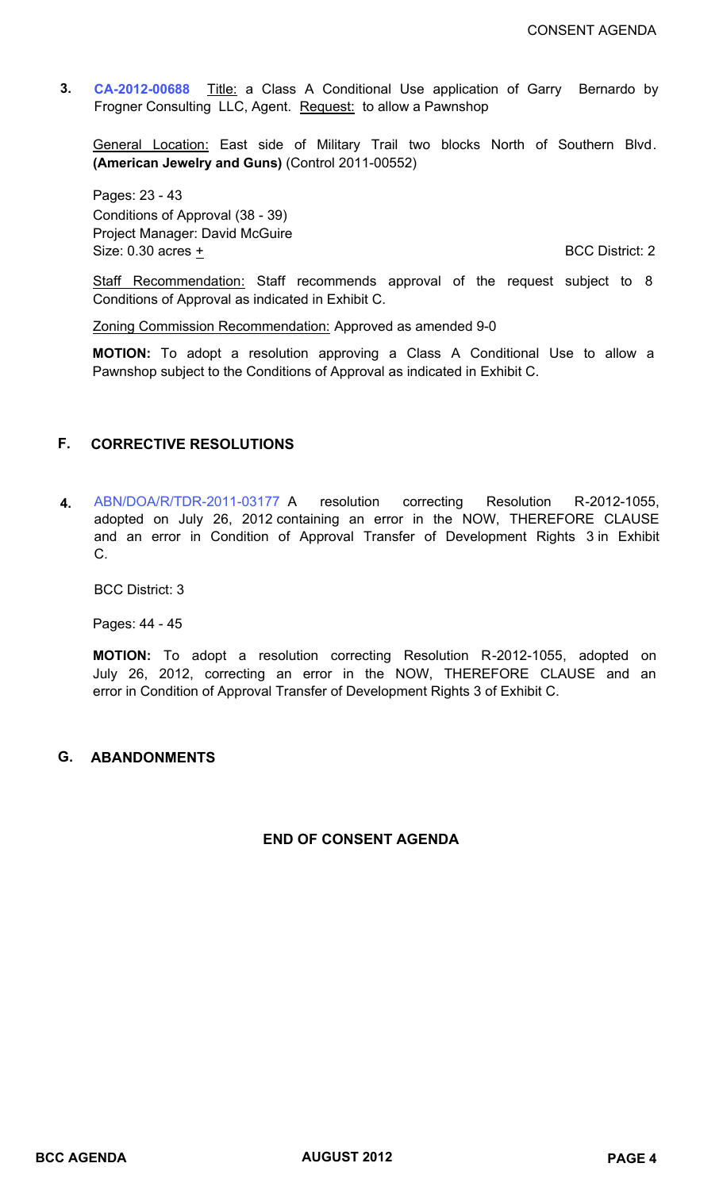**[CA-2012-00688](http://discover.pbcgov.org/pzb/zoning/Hearings-Meetings-BCC/2012-08-3.pdf)** Title: a Class A Conditional Use application of Garry Bernardo by Frogner Consulting LLC, Agent. Request: to allow a Pawnshop **3.**

General Location: East side of Military Trail two blocks North of Southern Blvd. **(American Jewelry and Guns)** (Control 2011-00552)

Pages: 23 - 43 Conditions of Approval (38 - 39) Project Manager: David McGuire Size:  $0.30$  acres  $\pm$  BCC District: 2

Staff Recommendation: Staff recommends approval of the request subject to 8 Conditions of Approval as indicated in Exhibit C.

Zoning Commission Recommendation: Approved as amended 9-0

**MOTION:** To adopt a resolution approving a Class A Conditional Use to allow a Pawnshop subject to the Conditions of Approval as indicated in Exhibit C.

## **F. CORRECTIVE RESOLUTIONS**

**4.** [ABN/DOA/R/TDR-2011-03177](http://discover.pbcgov.org/pzb/zoning/Hearings-Meetings-BCC/2012-08-4.pdf) A resolution correcting Resolution R-2012-1055, adopted on July 26, 2012 containing an error in the NOW, THEREFORE CLAUSE and an error in Condition of Approval Transfer of Development Rights 3 in Exhibit C.

BCC District: 3

Pages: 44 - 45

**MOTION:** To adopt a resolution correcting Resolution R-2012-1055, adopted on July 26, 2012, correcting an error in the NOW, THEREFORE CLAUSE and an error in Condition of Approval Transfer of Development Rights 3 of Exhibit C.

### **G. ABANDONMENTS**

## **END OF CONSENT AGENDA**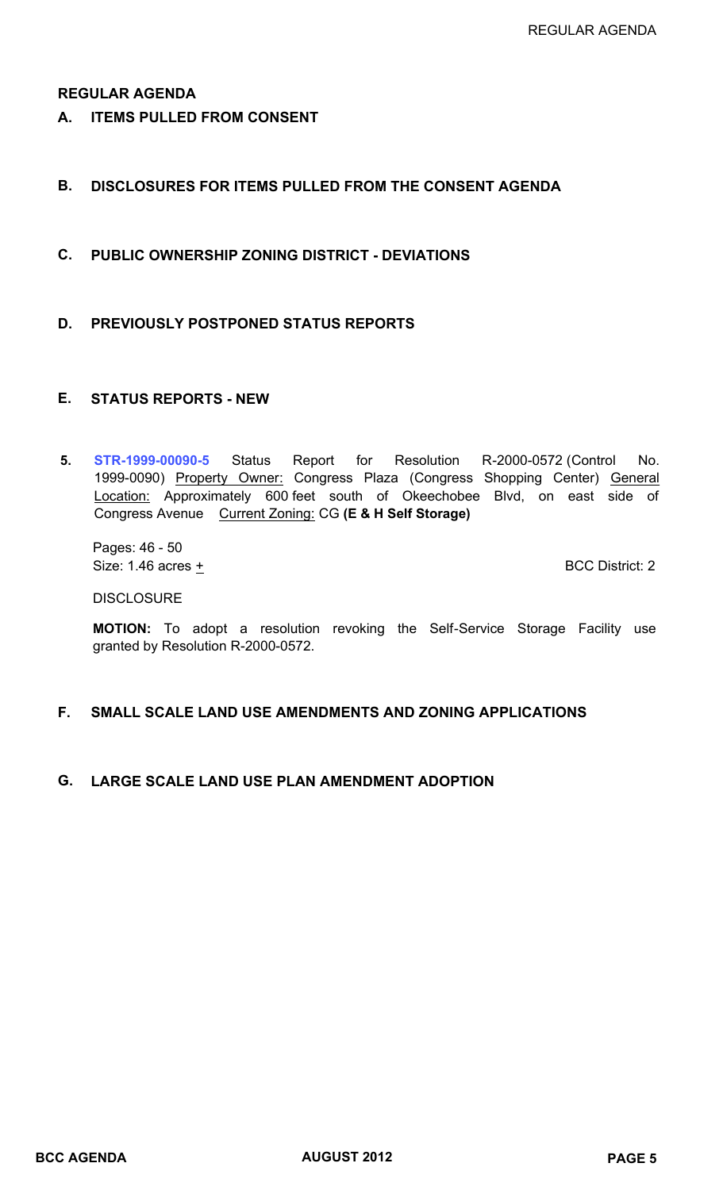### **REGULAR AGENDA**

**A. ITEMS PULLED FROM CONSENT**

# **B. DISCLOSURES FOR ITEMS PULLED FROM THE CONSENT AGENDA**

- **C. PUBLIC OWNERSHIP ZONING DISTRICT DEVIATIONS**
- **D. PREVIOUSLY POSTPONED STATUS REPORTS**

### **E. STATUS REPORTS - NEW**

**[STR-1999-00090-5](http://discover.pbcgov.org/pzb/zoning/Hearings-Meetings-BCC/2012-08-5.pdf)** Status Report for Resolution R-2000-0572 (Control No. 1999-0090) Property Owner: Congress Plaza (Congress Shopping Center) General Location: Approximately 600 feet south of Okeechobee Blvd, on east side of Congress Avenue Current Zoning: CG **(E & H Self Storage) 5.**

Pages: 46 - 50 Size:  $1.46$  acres  $\pm$  BCC District: 2

**DISCLOSURE** 

**MOTION:** To adopt a resolution revoking the Self-Service Storage Facility use granted by Resolution R-2000-0572.

# **F. SMALL SCALE LAND USE AMENDMENTS AND ZONING APPLICATIONS**

### **G. LARGE SCALE LAND USE PLAN AMENDMENT ADOPTION**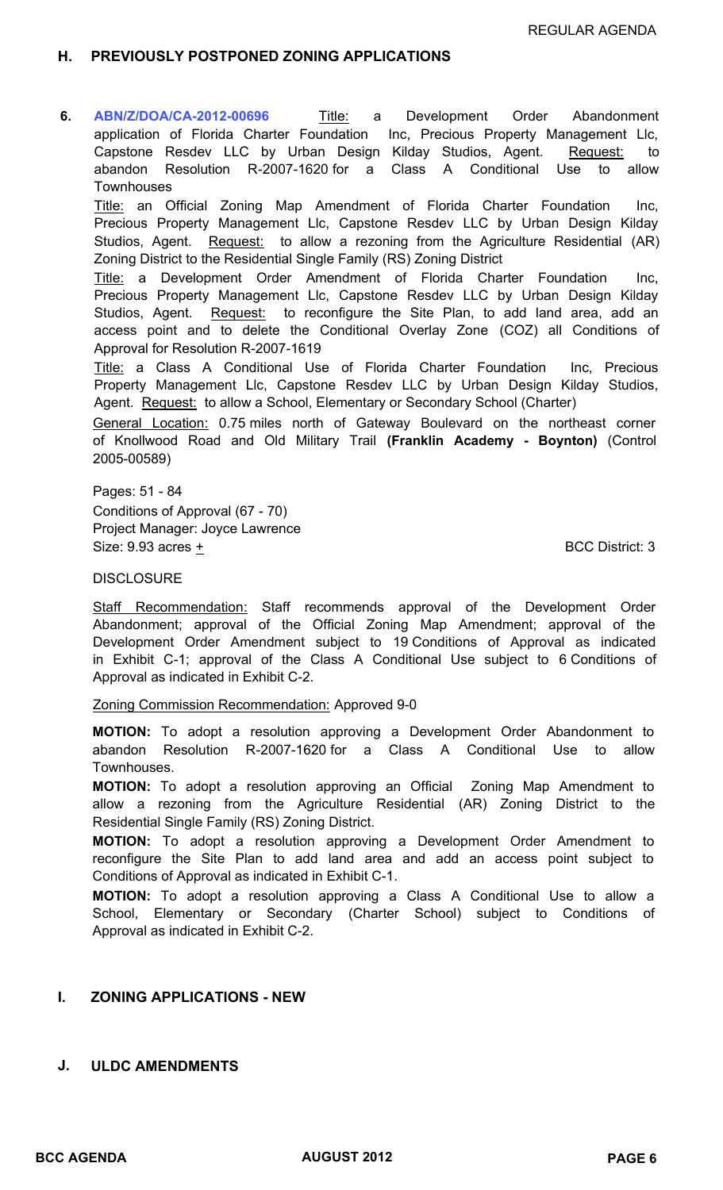## **H. PREVIOUSLY POSTPONED ZONING APPLICATIONS**

**[ABN/Z/DOA/CA-2012-00696](http://discover.pbcgov.org/pzb/zoning/Hearings-Meetings-BCC/2012-08-6.pdf)** Title: a Development Order Abandonment application of Florida Charter Foundation Inc, Precious Property Management Llc, Capstone Resdev LLC by Urban Design Kilday Studios, Agent. Request: to abandon Resolution R-2007-1620 for a Class A Conditional Use to allow **Townhouses 6.**

Title: an Official Zoning Map Amendment of Florida Charter Foundation Inc, Precious Property Management Llc, Capstone Resdev LLC by Urban Design Kilday Studios, Agent. Request: to allow a rezoning from the Agriculture Residential (AR) Zoning District to the Residential Single Family (RS) Zoning District

Title: a Development Order Amendment of Florida Charter Foundation Inc, Precious Property Management Llc, Capstone Resdev LLC by Urban Design Kilday Studios, Agent. Request: to reconfigure the Site Plan, to add land area, add an access point and to delete the Conditional Overlay Zone (COZ) all Conditions of Approval for Resolution R-2007-1619

Title: a Class A Conditional Use of Florida Charter Foundation Inc, Precious Property Management Llc, Capstone Resdev LLC by Urban Design Kilday Studios, Agent. Request: to allow a School, Elementary or Secondary School (Charter)

General Location: 0.75 miles north of Gateway Boulevard on the northeast corner of Knollwood Road and Old Military Trail **(Franklin Academy - Boynton)** (Control 2005-00589)

Pages: 51 - 84 Conditions of Approval (67 - 70) Project Manager: Joyce Lawrence Size: 9.93 acres + BCC District: 3

#### **DISCLOSURE**

Staff Recommendation: Staff recommends approval of the Development Order Abandonment; approval of the Official Zoning Map Amendment; approval of the Development Order Amendment subject to 19 Conditions of Approval as indicated in Exhibit C-1; approval of the Class A Conditional Use subject to 6 Conditions of Approval as indicated in Exhibit C-2.

Zoning Commission Recommendation: Approved 9-0

**MOTION:** To adopt a resolution approving a Development Order Abandonment to abandon Resolution R-2007-1620 for a Class A Conditional Use to allow Townhouses.

**MOTION:** To adopt a resolution approving an Official Zoning Map Amendment to allow a rezoning from the Agriculture Residential (AR) Zoning District to the Residential Single Family (RS) Zoning District.

**MOTION:** To adopt a resolution approving a Development Order Amendment to reconfigure the Site Plan to add land area and add an access point subject to Conditions of Approval as indicated in Exhibit C-1.

**MOTION:** To adopt a resolution approving a Class A Conditional Use to allow a School, Elementary or Secondary (Charter School) subject to Conditions of Approval as indicated in Exhibit C-2.

## **I. ZONING APPLICATIONS - NEW**

#### **J. ULDC AMENDMENTS**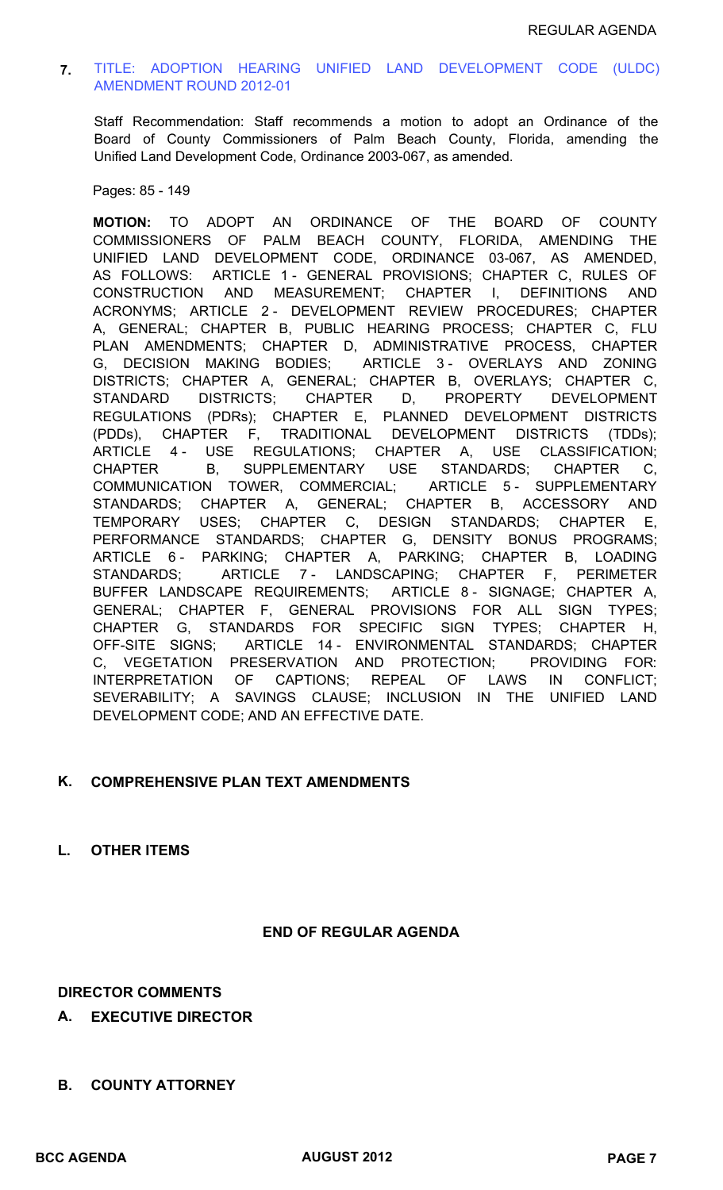### **7.** [TITLE: ADOPTION HEARING UNIFIED LAND DEVELOPMENT CODE \(ULDC\)](http://discover.pbcgov.org/pzb/zoning/Hearings-Meetings-BCC/2012-08-7.pdf)  AMENDMENT ROUND 2012-01

Staff Recommendation: Staff recommends a motion to adopt an Ordinance of the Board of County Commissioners of Palm Beach County, Florida, amending the Unified Land Development Code, Ordinance 2003-067, as amended.

Pages: 85 - 149

**MOTION:** TO ADOPT AN ORDINANCE OF THE BOARD OF COUNTY COMMISSIONERS OF PALM BEACH COUNTY, FLORIDA, AMENDING THE UNIFIED LAND DEVELOPMENT CODE, ORDINANCE 03-067, AS AMENDED, AS FOLLOWS: ARTICLE 1 - GENERAL PROVISIONS; CHAPTER C, RULES OF CONSTRUCTION AND MEASUREMENT; CHAPTER I, DEFINITIONS AND ACRONYMS; ARTICLE 2 - DEVELOPMENT REVIEW PROCEDURES; CHAPTER A, GENERAL; CHAPTER B, PUBLIC HEARING PROCESS; CHAPTER C, FLU PLAN AMENDMENTS; CHAPTER D, ADMINISTRATIVE PROCESS, CHAPTER G, DECISION MAKING BODIES; ARTICLE 3 - OVERLAYS AND ZONING DISTRICTS; CHAPTER A, GENERAL; CHAPTER B, OVERLAYS; CHAPTER C, STANDARD DISTRICTS; CHAPTER D, PROPERTY DEVELOPMENT REGULATIONS (PDRs); CHAPTER E, PLANNED DEVELOPMENT DISTRICTS (PDDs), CHAPTER F, TRADITIONAL DEVELOPMENT DISTRICTS (TDDs); ARTICLE 4 - USE REGULATIONS; CHAPTER A, USE CLASSIFICATION; CHAPTER B, SUPPLEMENTARY USE STANDARDS; CHAPTER C, COMMUNICATION TOWER, COMMERCIAL; ARTICLE 5 - SUPPLEMENTARY STANDARDS; CHAPTER A, GENERAL; CHAPTER B, ACCESSORY AND TEMPORARY USES; CHAPTER C, DESIGN STANDARDS; CHAPTER E, PERFORMANCE STANDARDS; CHAPTER G, DENSITY BONUS PROGRAMS; ARTICLE 6- PARKING; CHAPTER A, PARKING; CHAPTER B, LOADING STANDARDS; ARTICLE 7 - LANDSCAPING; CHAPTER F, PERIMETER BUFFER LANDSCAPE REQUIREMENTS; ARTICLE 8 - SIGNAGE; CHAPTER A, GENERAL; CHAPTER F, GENERAL PROVISIONS FOR ALL SIGN TYPES; CHAPTER G, STANDARDS FOR SPECIFIC SIGN TYPES; CHAPTER H, OFF-SITE SIGNS; ARTICLE 14 - ENVIRONMENTAL STANDARDS; CHAPTER C, VEGETATION PRESERVATION AND PROTECTION; PROVIDING FOR: INTERPRETATION OF CAPTIONS; REPEAL OF LAWS IN CONFLICT; SEVERABILITY; A SAVINGS CLAUSE; INCLUSION IN THE UNIFIED LAND DEVELOPMENT CODE; AND AN EFFECTIVE DATE.

### **K. COMPREHENSIVE PLAN TEXT AMENDMENTS**

### **L. OTHER ITEMS**

#### **END OF REGULAR AGENDA**

#### **DIRECTOR COMMENTS**

- **A. EXECUTIVE DIRECTOR**
- **B. COUNTY ATTORNEY**